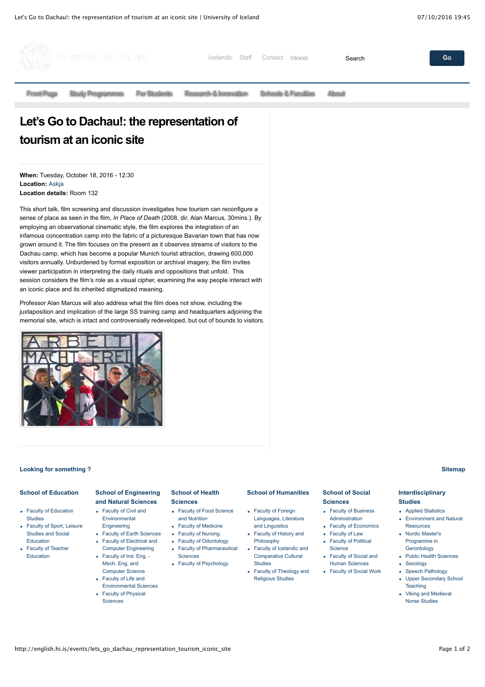

# **Let's Go to Dachau!: the representation of tourism at an iconic site**

**When:** Tuesday, October 18, 2016 - 12:30 **Location:** [Askja](http://english.hi.is/university/kort/askja) **Location details:** Room 132

This short talk, film screening and discussion investigates how tourism can reconfigure a sense of place as seen in the film, *In Place of Death* (2008, dir. Alan Marcus, 30mins.). By employing an observational cinematic style, the film explores the integration of an infamous concentration camp into the fabric of a picturesque Bavarian town that has now grown around it. The film focuses on the present as it observes streams of visitors to the Dachau camp, which has become a popular Munich tourist attraction, drawing 600,000 visitors annually. Unburdened by formal exposition or archival imagery, the film invites viewer participation in interpreting the daily rituals and oppositions that unfold. This session considers the film's role as a visual cipher, examining the way people interact with an iconic place and its inherited stigmatized meaning.

Professor Alan Marcus will also address what the film does not show, including the juxtaposition and implication of the large SS training camp and headquarters adjoining the memorial site, which is intact and controversially redeveloped, but out of bounds to visitors.



#### **[Looking for something ?](http://english.hi.is/search) [Sitemap](http://english.hi.is/sitemap)**

#### **[School of Education](http://english.hi.is/school_of_education/school_of_education)**

- [Faculty of Education](http://english.hi.is/school_of_education_departments/faculty_of_educational_studies/main_menu/home) **Studies**
- [Faculty of Sport, Leisure](http://english.hi.is/department_of_sport) Studies and Social Education
- [Faculty of Teacher](http://english.hi.is/school_of_education_departments/faculty_of_teacher_education/main_menu/home) Education

#### **[School of Engineering](http://english.hi.is/sens/school_of_engineering_and_sciences/school_of_engineering_and_natural_sciences) and Natural Sciences**

- [Faculty of Civil and](http://english.hi.is/sens/faculty_of_civil_and_environmental_engineering/front_page) Environmental Engineering
- [Faculty of Earth Sciences](http://english.hi.is/von/faculty_of_earth_sciences/main_menu/home) Faculty of Electrical and
	- [Computer Engineering](http://english.hi.is/von/faculty_of_electrical_and_computer_engineering/main_menu/home)
- [Faculty of Ind. Eng, -](http://english.hi.is/von/faculty_of_industrial_mechanical_engineering_and_computer_science/main_menu/the_faculty_of_industrial_engineering_mechanical) Mech. Eng, and Computer Science
- Faculty of Life and [Environmental Sciences](http://english.hi.is/von/faculty_of_life_and_environmental_sciences/main_menu/home)
- [Faculty of Physical](http://english.hi.is/von/faculty_of_physical_sciences/main_menu/home)
	- **Sciences**

## **[School of Health](http://english.hi.is/school_of_health_sciences/school_of_health_sciences)**

#### **Sciences**

- [Faculty of Food Science](http://english.hi.is/school_of_health_sciences/faculty_of_food_science_and_nutrition/front_page) and Nutrition
- [Faculty of Medicine](http://english.hi.is/school_of_health_sciences/faculty_of_medicine/front_page)
- [Faculty of Nursing](http://english.hi.is/school_of_health_sciences/faculty_of_nursing/about_faculty)
- [Faculty of Odontology](http://english.hi.is/school_of_health_sciences/faculty_of_odontology/front_page) [Faculty of Pharmaceutical](http://english.hi.is/school_of_health_sciences/faculty_of_pharmaceutical_sciences/front_page)
- Sciences
- [Faculty of Psychology](http://english.hi.is/school_of_social_sciences/faculty_of_psychology/front_page)

#### • Faculty of Foreign [Languages, Literature](http://english.hi.is/school_of_humanities/faculty_of_foreign_languages/front_page) and Linguistics

**[School of Humanities](http://english.hi.is/school_of_humanities)**

- [Faculty of History and](http://english.hi.is/school_of_humanities/faculty_of_history_and_philosophy/front_page) Philosophy
- [Faculty of Icelandic and](http://english.hi.is/school_of_humanities_departments/faculty_of_icelandic_and_comparative_cultural_studies/main_menu/home) Comparative Cultural Studies
- [Faculty of Theology and](http://english.hi.is/school_of_humanities_departments/faculty_of_theology_and_religious_studies/main_menu/home) Religious Studies

#### **[School of Social](http://english.hi.is/school_of_social_sciences/school_social_sciences) Sciences**

- [Faculty of Business](http://english.hi.is/school_of_social_sciences/faculty_of_business_administration/school_business) Administration
- [Faculty of Economics](http://english.hi.is/school_of_social_sciences/faculty_of_economics/front_page)
- [Faculty of Law](http://english.hi.is/school_of_social_sciences/faculty_of_law/law) • [Faculty of Political](http://english.hi.is/school_of_social_sciences_departments/faculty_of_political_science/main_menu/home)
- **Science** [Faculty of Social and](http://english.hi.is/school_of_social_sciences_departments/faculty_of_social_and_human_studies/main_menu/home)
	- Human Sciences
- [Faculty of Social Work](http://english.hi.is/school_of_social_sciences_departments/faculty_of_social_work/main_menu/home)

- **[Environment and Natural](https://english.hi.is/environment_and_natural_resource/environment_and_natural_resources_studies)**
- [Sexology](https://ugla.hi.is/kennsluskra/index.php?tab=nam&chapter=namsleid&id=820134_20146&kennsluar=current&lang=en)
- [Speech Pathology](https://ugla.hi.is/kennsluskra/index.php?tab=skoli&chapter=content&id=24364&version=current&lang=en)
- [Upper Secondary School](https://ugla.hi.is/kennsluskra/index.php?tab=skoli&chapter=content&id=34936&kennsluar=current&lang=en) **Teaching**
- [Viking and Medieval](https://english.hi.is/viking_and_norse_medieval_studies/viking_and_medieval_norse_studies) Norse Studies

### **[Interdisciplinary](http://english.hi.is/university/interdisciplinary_studies) Studies**

- **Annlied Statistics** Resources
- [Nordic Master's](https://english.hi.is/nordic_mastersprogramme_in_gerontology/home#overlay-context=) Programme in
- Gerontology • [Public Health Sciences](https://english.hi.is/node/10272)